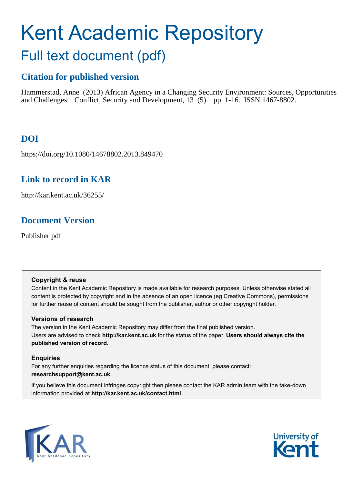# Kent Academic Repository Full text document (pdf)

## **Citation for published version**

Hammerstad, Anne (2013) African Agency in a Changing Security Environment: Sources, Opportunities and Challenges. Conflict, Security and Development, 13 (5). pp. 1-16. ISSN 1467-8802.

## **DOI**

https://doi.org/10.1080/14678802.2013.849470

### **Link to record in KAR**

http://kar.kent.ac.uk/36255/

### **Document Version**

Publisher pdf

### **Copyright & reuse**

Content in the Kent Academic Repository is made available for research purposes. Unless otherwise stated all content is protected by copyright and in the absence of an open licence (eg Creative Commons), permissions for further reuse of content should be sought from the publisher, author or other copyright holder.

### **Versions of research**

The version in the Kent Academic Repository may differ from the final published version. Users are advised to check **http://kar.kent.ac.uk** for the status of the paper. **Users should always cite the published version of record.**

### **Enquiries**

For any further enquiries regarding the licence status of this document, please contact: **researchsupport@kent.ac.uk**

If you believe this document infringes copyright then please contact the KAR admin team with the take-down information provided at **http://kar.kent.ac.uk/contact.html**



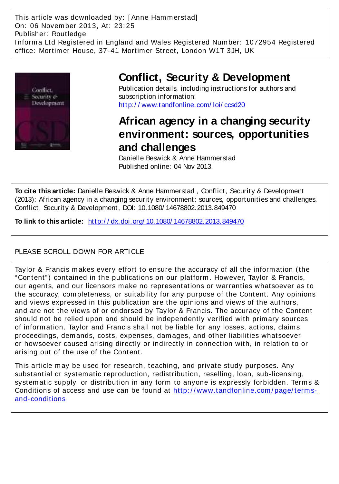This article was downloaded by: [Anne Hammerstad] On: 06 Novem ber 2013, At: 23: 25 Publisher: Routledge I nform a Ltd Registered in England and Wales Registered Num ber: 1072954 Registered office: Mortim er House, 37-41 Mortim er Street, London W1T 3JH, UK



## **Conflict, Security & Development**

Publication details, including instructions for authors and subscription information: http://www.tandfonline.com/loi/ccsd20

## **African agency in a changing security environment: sources, opportunities and challenges**

Danielle Beswick & Anne Hammerstad Published online: 04 Nov 2013.

**To cite this article:** Danielle Beswick & Anne Hammerstad , Conflict, Security & Development (2013): African agency in a changing security environment: sources, opportunities and challenges, Conflict, Security & Development, DOI: 10.1080/ 14678802.2013.849470

**To link to this article:** [http:/ / dx.doi.org/ 10.1080/ 14678802.2013.849470](http://dx.doi.org/10.1080/14678802.2013.849470)

### PLEASE SCROLL DOWN FOR ARTICLE

Taylor & Francis m akes every effort to ensure the accuracy of all the inform ation (the "Content") contained in the publications on our platform . However, Taylor & Francis, our agents, and our licensors m ake no representations or warranties whatsoever as to the accuracy, com pleteness, or suitability for any purpose of the Content. Any opinions and views expressed in this publication are the opinions and views of the authors, and are not the views of or endorsed by Taylor & Francis. The accuracy of the Content should not be relied upon and should be independently verified with primary sources of inform ation. Taylor and Francis shall not be liable for any losses, actions, claim s, proceedings, dem ands, costs, expenses, dam ages, and other liabilities whatsoever or howsoever caused arising directly or indirectly in connection with, in relation to or arising out of the use of the Content.

This article m ay be used for research, teaching, and private study purposes. Any substantial or system atic reproduction, redistribution, reselling, loan, sub-licensing, system atic supply, or distribution in any form to anyone is expressly forbidden. Terms & Conditions of access and use can be found at http://www.tandfonline.com/page/terms[and-conditions](http://www.tandfonline.com/page/terms-and-conditions)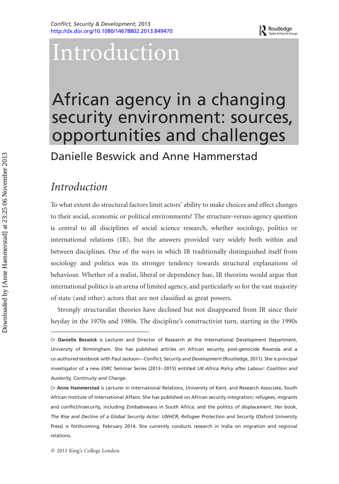

## Introduction

## African agency in a changing security environment: sources, opportunities and challenges

Danielle Beswick and Anne Hammerstad

## *Introduction*

To what extent do structural factors limit actors' ability to make choices and effect changes to their social, economic or political environments? The structure-versus-agency question is central to all disciplines of social science research, whether sociology, politics or international relations (IR), but the answers provided vary widely both within and between disciplines. One of the ways in which IR traditionally distinguished itself from sociology and politics was its stronger tendency towards structural explanations of behaviour. Whether of a realist, liberal or dependency hue, IR theorists would argue that international politics is an arena of limited agency, and particularly so for the vast majority of state (and other) actors that are not classified as great powers.

Strongly structuralist theories have declined but not disappeared from IR since their heyday in the 1970s and 1980s. The discipline's constructivist turn, starting in the 1990s

Dr Danielle Beswick is Lecturer and Director of Research at the International Development Department, University of Birmingham. She has published articles on African security, post-genocide Rwanda and a co-authored textbook with Paul Jackson—Conflict, Security and Development (Routledge, 2011). She is principal investigator of a new ESRC Seminar Series (2013 –2015) entitled UK-Africa Policy after Labour: Coalition and Austerity, Continuity and Change.

Dr Anne Hammerstad is Lecturer in International Relations, University of Kent, and Research Associate, South African Institute of International Affairs. She has published on African security integration; refugees, migrants and conflict/insecurity, including Zimbabweans in South Africa; and the politics of displacement. Her book, The Rise and Decline of a Global Security Actor: UNHCR, Refugee Protection and Security (Oxford University Press) is forthcoming, February 2014. She currently conducts research in India on migration and regional relations.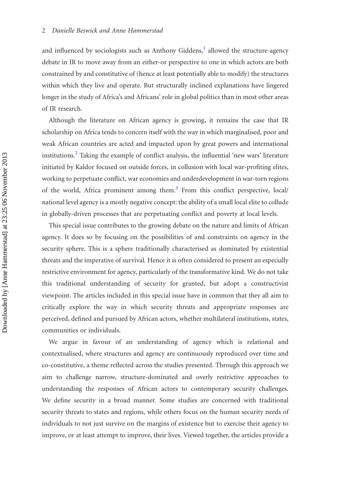and influenced by sociologists such as Anthony Giddens, $<sup>1</sup>$  allowed the structure-agency</sup> debate in IR to move away from an either-or perspective to one in which actors are both constrained by and constitutive of (hence at least potentially able to modify) the structures within which they live and operate. But structurally inclined explanations have lingered longer in the study of Africa's and Africans' role in global politics than in most other areas of IR research.

Although the literature on African agency is growing, it remains the case that IR scholarship on Africa tends to concern itself with the way in which marginalised, poor and weak African countries are acted and impacted upon by great powers and international institutions.[2](#page-14-1) Taking the example of conflict analysis, the influential 'new wars' literature initiated by Kaldor focused on outside forces, in collusion with local war-profiting elites, working to perpetuate conflict, war economies and underdevelopment in war-torn regions of the world, Africa prominent among them.<sup>3</sup> From this conflict perspective, local/ national level agency is a mostly negative concept: the ability of a small local elite to collude in globally-driven processes that are perpetuating conflict and poverty at local levels.

This special issue contributes to the growing debate on the nature and limits of African agency. It does so by focusing on the possibilities of and constraints on agency in the security sphere. This is a sphere traditionally characterised as dominated by existential threats and the imperative of survival. Hence it is often considered to present an especially restrictive environment for agency, particularly of the transformative kind. We do not take this traditional understanding of security for granted, but adopt a constructivist viewpoint. The articles included in this special issue have in common that they all aim to critically explore the way in which security threats and appropriate responses are perceived, defined and pursued by African actors, whether multilateral institutions, states, communities or individuals.

We argue in favour of an understanding of agency which is relational and contextualised, where structures and agency are continuously reproduced over time and co-constitutive, a theme reflected across the studies presented. Through this approach we aim to challenge narrow, structure-dominated and overly restrictive approaches to understanding the responses of African actors to contemporary security challenges. We define security in a broad manner. Some studies are concerned with traditional security threats to states and regions, while others focus on the human security needs of individuals to not just survive on the margins of existence but to exercise their agency to improve, or at least attempt to improve, their lives. Viewed together, the articles provide a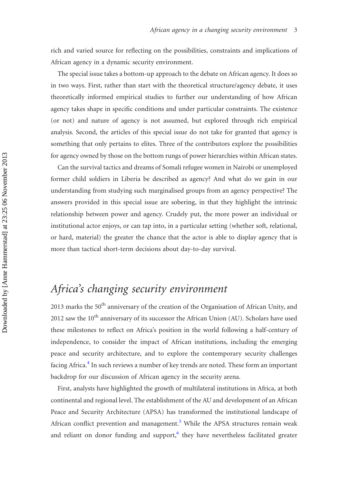rich and varied source for reflecting on the possibilities, constraints and implications of African agency in a dynamic security environment.

The special issue takes a bottom-up approach to the debate on African agency. It does so in two ways. First, rather than start with the theoretical structure/agency debate, it uses theoretically informed empirical studies to further our understanding of how African agency takes shape in specific conditions and under particular constraints. The existence (or not) and nature of agency is not assumed, but explored through rich empirical analysis. Second, the articles of this special issue do not take for granted that agency is something that only pertains to elites. Three of the contributors explore the possibilities for agency owned by those on the bottom rungs of power hierarchies within African states.

Can the survival tactics and dreams of Somali refugee women in Nairobi or unemployed former child soldiers in Liberia be described as agency? And what do we gain in our understanding from studying such marginalised groups from an agency perspective? The answers provided in this special issue are sobering, in that they highlight the intrinsic relationship between power and agency. Crudely put, the more power an individual or institutional actor enjoys, or can tap into, in a particular setting (whether soft, relational, or hard, material) the greater the chance that the actor is able to display agency that is more than tactical short-term decisions about day-to-day survival.

### *Africa's changing security environment*

2013 marks the 50<sup>th</sup> anniversary of the creation of the Organisation of African Unity, and 2012 saw the  $10^{th}$  anniversary of its successor the African Union (AU). Scholars have used these milestones to reflect on Africa's position in the world following a half-century of independence, to consider the impact of African institutions, including the emerging peace and security architecture, and to explore the contemporary security challenges facing Africa.<sup>[4](#page-14-3)</sup> In such reviews a number of key trends are noted. These form an important backdrop for our discussion of African agency in the security arena.

First, analysts have highlighted the growth of multilateral institutions in Africa, at both continental and regional level. The establishment of the AU and development of an African Peace and Security Architecture (APSA) has transformed the institutional landscape of African conflict prevention and management.<sup>5</sup> While the APSA structures remain weak and reliant on donor funding and support, $6$  they have nevertheless facilitated greater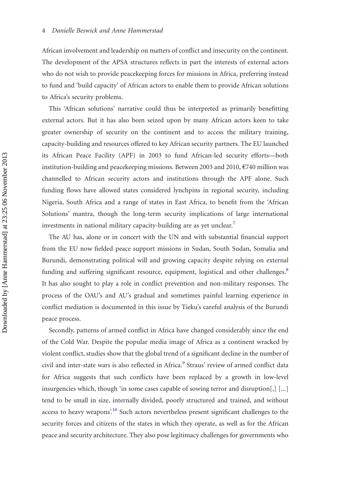African involvement and leadership on matters of conflict and insecurity on the continent. The development of the APSA structures reflects in part the interests of external actors who do not wish to provide peacekeeping forces for missions in Africa, preferring instead to fund and 'build capacity' of African actors to enable them to provide African solutions to Africa's security problems.

This 'African solutions' narrative could thus be interpreted as primarily benefitting external actors. But it has also been seized upon by many African actors keen to take greater ownership of security on the continent and to access the military training, capacity-building and resources offered to key African security partners. The EU launched its African Peace Facility (APF) in 2003 to fund African-led security efforts—both institution-building and peace keeping missions. Between 2003 and 2010,  $\epsilon$ 740 million was channelled to African security actors and institutions through the APF alone. Such funding flows have allowed states considered lynchpins in regional security, including Nigeria, South Africa and a range of states in East Africa, to benefit from the 'African Solutions' mantra, though the long-term security implications of large international investments in national military capacity-building are as yet unclear.<sup>[7](#page-14-6)</sup>

The AU has, alone or in concert with the UN and with substantial financial support from the EU now fielded peace support missions in Sudan, South Sudan, Somalia and Burundi, demonstrating political will and growing capacity despite relying on external funding and suffering significant resource, equipment, logistical and other challenges.<sup>8</sup> It has also sought to play a role in conflict prevention and non-military responses. The process of the OAU's and AU's gradual and sometimes painful learning experience in conflict mediation is documented in this issue by Tieku's careful analysis of the Burundi peace process.

Secondly, patterns of armed conflict in Africa have changed considerably since the end of the Cold War. Despite the popular media image of Africa as a continent wracked by violent conflict, studies show that the global trend of a significant decline in the number of civil and inter-state wars is also reflected in Africa.<sup>9</sup> Straus' review of armed conflict data for Africa suggests that such conflicts have been replaced by a growth in low-level insurgencies which, though 'in some cases capable of sowing terror and disruption $[$ , $]$ [...] tend to be small in size, internally divided, poorly structured and trained, and without access to heavy weapons'.<sup>[10](#page-14-9)</sup> Such actors nevertheless present significant challenges to the security forces and citizens of the states in which they operate, as well as for the African peace and security architecture. They also pose legitimacy challenges for governments who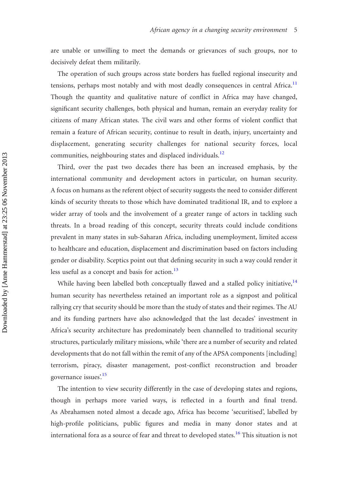are unable or unwilling to meet the demands or grievances of such groups, nor to decisively defeat them militarily.

The operation of such groups across state borders has fuelled regional insecurity and tensions, perhaps most notably and with most deadly consequences in central Africa.<sup>[11](#page-14-10)</sup> Though the quantity and qualitative nature of conflict in Africa may have changed, significant security challenges, both physical and human, remain an everyday reality for citizens of many African states. The civil wars and other forms of violent conflict that remain a feature of African security, continue to result in death, injury, uncertainty and displacement, generating security challenges for national security forces, local communities, neighbouring states and displaced individuals.<sup>[12](#page-14-11)</sup>

Third, over the past two decades there has been an increased emphasis, by the international community and development actors in particular, on human security. A focus on humans as the referent object of security suggests the need to consider different kinds of security threats to those which have dominated traditional IR, and to explore a wider array of tools and the involvement of a greater range of actors in tackling such threats. In a broad reading of this concept, security threats could include conditions prevalent in many states in sub-Saharan Africa, including unemployment, limited access to healthcare and education, displacement and discrimination based on factors including gender or disability. Sceptics point out that defining security in such a way could render it less useful as a concept and basis for action.<sup>[13](#page-15-0)</sup>

While having been labelled both conceptually flawed and a stalled policy initiative,<sup>[14](#page-15-1)</sup> human security has nevertheless retained an important role as a signpost and political rallying cry that security should be more than the study of states and their regimes. The AU and its funding partners have also acknowledged that the last decades' investment in Africa's security architecture has predominately been channelled to traditional security structures, particularly military missions, while 'there are a number of security and related developments that do not fall within the remit of any of the APSA components [including] terrorism, piracy, disaster management, post-conflict reconstruction and broader governance issues'.[15](#page-15-2)

The intention to view security differently in the case of developing states and regions, though in perhaps more varied ways, is reflected in a fourth and final trend. As Abrahamsen noted almost a decade ago, Africa has become 'securitised', labelled by high-profile politicians, public figures and media in many donor states and at international fora as a source of fear and threat to developed states.<sup>[16](#page-15-3)</sup> This situation is not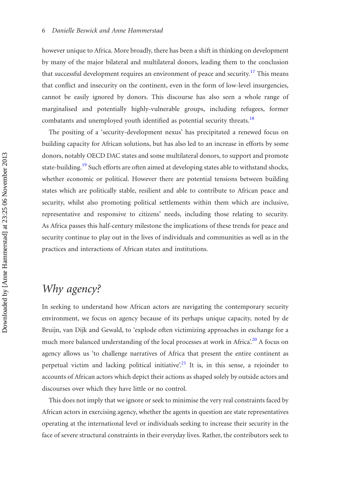however unique to Africa. More broadly, there has been a shift in thinking on development by many of the major bilateral and multilateral donors, leading them to the conclusion that successful development requires an environment of peace and security.<sup>[17](#page-15-4)</sup> This means that conflict and insecurity on the continent, even in the form of low-level insurgencies, cannot be easily ignored by donors. This discourse has also seen a whole range of marginalised and potentially highly-vulnerable groups, including refugees, former combatants and unemployed youth identified as potential security threats.<sup>18</sup>

The positing of a 'security-development nexus' has precipitated a renewed focus on building capacity for African solutions, but has also led to an increase in efforts by some donors, notably OECD DAC states and some multilateral donors, to support and promote state-building.<sup>[19](#page-15-6)</sup> Such efforts are often aimed at developing states able to withstand shocks, whether economic or political. However there are potential tensions between building states which are politically stable, resilient and able to contribute to African peace and security, whilst also promoting political settlements within them which are inclusive, representative and responsive to citizens' needs, including those relating to security. As Africa passes this half-century milestone the implications of these trends for peace and security continue to play out in the lives of individuals and communities as well as in the practices and interactions of African states and institutions.

### *Why agency?*

In seeking to understand how African actors are navigating the contemporary security environment, we focus on agency because of its perhaps unique capacity, noted by de Bruijn, van Dijk and Gewald, to 'explode often victimizing approaches in exchange for a much more balanced understanding of the local processes at work in Africa<sup>[20](#page-15-7)</sup> A focus on agency allows us 'to challenge narratives of Africa that present the entire continent as perpetual victim and lacking political initiative'.<sup>21</sup> It is, in this sense, a rejoinder to accounts of African actors which depict their actions as shaped solely by outside actors and discourses over which they have little or no control.

This does not imply that we ignore or seek to minimise the very real constraints faced by African actors in exercising agency, whether the agents in question are state representatives operating at the international level or individuals seeking to increase their security in the face of severe structural constraints in their everyday lives. Rather, the contributors seek to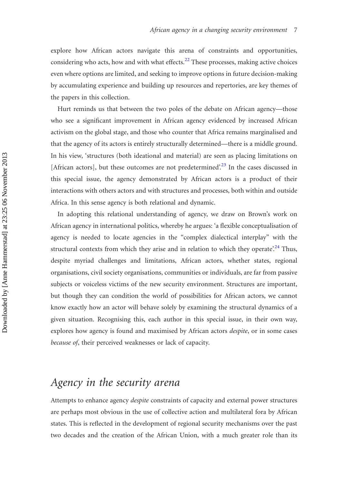explore how African actors navigate this arena of constraints and opportunities, considering who acts, how and with what effects.<sup>22</sup> These processes, making active choices even where options are limited, and seeking to improve options in future decision-making by accumulating experience and building up resources and repertories, are key themes of the papers in this collection.

Hurt reminds us that between the two poles of the debate on African agency—those who see a significant improvement in African agency evidenced by increased African activism on the global stage, and those who counter that Africa remains marginalised and that the agency of its actors is entirely structurally determined—there is a middle ground. In his view, 'structures (both ideational and material) are seen as placing limitations on [African actors], but these outcomes are not predetermined?<sup>23</sup> In the cases discussed in this special issue, the agency demonstrated by African actors is a product of their interactions with others actors and with structures and processes, both within and outside Africa. In this sense agency is both relational and dynamic.

In adopting this relational understanding of agency, we draw on Brown's work on African agency in international politics, whereby he argues: 'a flexible conceptualisation of agency is needed to locate agencies in the "complex dialectical interplay" with the structural contexts from which they arise and in relation to which they operate.<sup>24</sup> Thus, despite myriad challenges and limitations, African actors, whether states, regional organisations, civil society organisations, communities or individuals, are far from passive subjects or voiceless victims of the new security environment. Structures are important, but though they can condition the world of possibilities for African actors, we cannot know exactly how an actor will behave solely by examining the structural dynamics of a given situation. Recognising this, each author in this special issue, in their own way, explores how agency is found and maximised by African actors *despite*, or in some cases *because of*, their perceived weaknesses or lack of capacity.

### *Agency in the security arena*

Attempts to enhance agency *despite* constraints of capacity and external power structures are perhaps most obvious in the use of collective action and multilateral fora by African states. This is reflected in the development of regional security mechanisms over the past two decades and the creation of the African Union, with a much greater role than its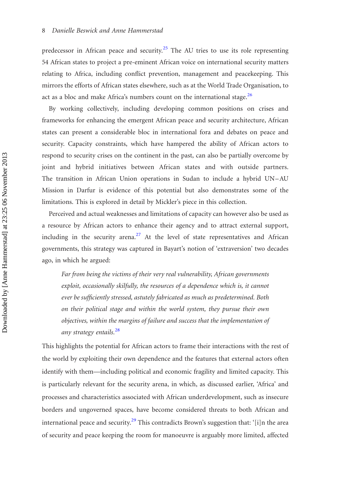predecessor in African peace and security.<sup>[25](#page-15-12)</sup> The AU tries to use its role representing 54 African states to project a pre-eminent African voice on international security matters relating to Africa, including conflict prevention, management and peacekeeping. This mirrors the efforts of African states elsewhere, such as at the World Trade Organisation, to act as a bloc and make Africa's numbers count on the international stage.<sup>26</sup>

By working collectively, including developing common positions on crises and frameworks for enhancing the emergent African peace and security architecture, African states can present a considerable bloc in international fora and debates on peace and security. Capacity constraints, which have hampered the ability of African actors to respond to security crises on the continent in the past, can also be partially overcome by joint and hybrid initiatives between African states and with outside partners. The transition in African Union operations in Sudan to include a hybrid UN –AU Mission in Darfur is evidence of this potential but also demonstrates some of the limitations. This is explored in detail by Mickler's piece in this collection.

Perceived and actual weaknesses and limitations of capacity can however also be used as a resource by African actors to enhance their agency and to attract external support, including in the security arena.<sup>27</sup> At the level of state representatives and African governments, this strategy was captured in Bayart's notion of 'extraversion' two decades ago, in which he argued:

*Far from being the victims of their very real vulnerability, African governments*  exploit, occasionally skilfully, the resources of a dependence which is, it cannot *ever be sufficiently stressed, astutely fabricated as much as predetermined. Both on their political stage and within the world system, they pursue their own objectives, within the margins of failure and success that the implementation of any strategy entails.*[28](#page-15-15)

This highlights the potential for African actors to frame their interactions with the rest of the world by exploiting their own dependence and the features that external actors often identify with them—including political and economic fragility and limited capacity. This is particularly relevant for the security arena, in which, as discussed earlier, 'Africa' and processes and characteristics associated with African underdevelopment, such as insecure borders and ungoverned spaces, have become considered threats to both African and international peace and security.<sup>29</sup> This contradicts Brown's suggestion that: '[i]n the area of security and peace keeping the room for manoeuvre is arguably more limited, affected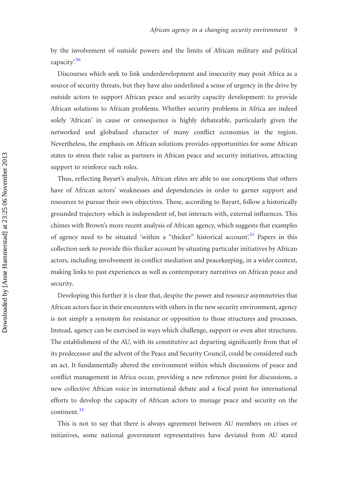by the involvement of outside powers and the limits of African military and political capacity'.<sup>[30](#page-15-17)</sup>

Discourses which seek to link underdevelopment and insecurity may posit Africa as a source of security threats, but they have also underlined a sense of urgency in the drive by outside actors to support African peace and security capacity development: to provide African solutions to African problems. Whether security problems in Africa are indeed solely 'African' in cause or consequence is highly debateable, particularly given the networked and globalised character of many conflict economies in the region. Nevertheless, the emphasis on African solutions provides opportunities for some African states to stress their value as partners in African peace and security initiatives, attracting support to reinforce such roles.

Thus, reflecting Bayart's analysis, African elites are able to use conceptions that others have of African actors' weaknesses and dependencies in order to garner support and resources to pursue their own objectives. These, according to Bayart, follow a historically grounded trajectory which is independent of, but interacts with, external influences. This chimes with Brown's more recent analysis of African agency, which suggests that examples of agency need to be situated 'within a "thicker" historical account'.<sup>[31](#page-15-18)</sup> Papers in this collection seek to provide this thicker account by situating particular initiatives by African actors, including involvement in conflict mediation and peacekeeping, in a wider context, making links to past experiences as well as contemporary narratives on African peace and security.

Developing this further it is clear that, despite the power and resource asymmetries that African actors face in their encounters with others in the new security environment, agency is not simply a synonym for resistance or opposition to those structures and processes. Instead, agency can be exercised in ways which challenge, support or even alter structures. The establishment of the AU, with its constitutive act departing significantly from that of its predecessor and the advent of the Peace and Security Council, could be considered such an act. It fundamentally altered the environment within which discussions of peace and conflict management in Africa occur, providing a new reference point for discussions, a new collective African voice in international debate and a focal point for international efforts to develop the capacity of African actors to manage peace and security on the continent.<sup>32</sup>

This is not to say that there is always agreement between AU members on crises or initiatives, some national government representatives have deviated from AU stated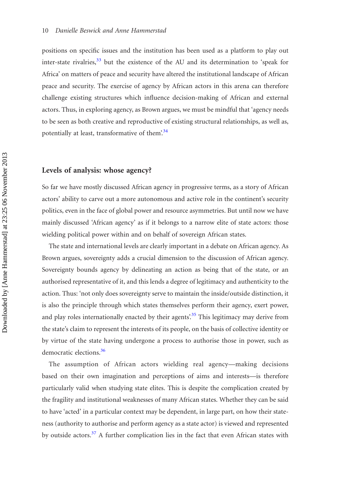positions on specific issues and the institution has been used as a platform to play out inter-state rivalries, $33$  but the existence of the AU and its determination to 'speak for Africa' on matters of peace and security have altered the institutional landscape of African peace and security. The exercise of agency by African actors in this arena can therefore challenge existing structures which influence decision-making of African and external actors. Thus, in exploring agency, as Brown argues, we must be mindful that 'agency needs to be seen as both creative and reproductive of existing structural relationships, as well as, potentially at least, transformative of them'.<sup>[34](#page-15-21)</sup>

#### Levels of analysis: whose agency?

So far we have mostly discussed African agency in progressive terms, as a story of African actors' ability to carve out a more autonomous and active role in the continent's security politics, even in the face of global power and resource asymmetries. But until now we have mainly discussed 'African agency' as if it belongs to a narrow elite of state actors: those wielding political power within and on behalf of sovereign African states.

The state and international levels are clearly important in a debate on African agency. As Brown argues, sovereignty adds a crucial dimension to the discussion of African agency. Sovereignty bounds agency by delineating an action as being that of the state, or an authorised representative of it, and this lends a degree of legitimacy and authenticity to the action. Thus: 'not only does sovereignty serve to maintain the inside/outside distinction, it is also the principle through which states themselves perform their agency, exert power, and play roles internationally enacted by their agents.<sup>[35](#page-15-22)</sup> This legitimacy may derive from the state's claim to represent the interests of its people, on the basis of collective identity or by virtue of the state having undergone a process to authorise those in power, such as democratic elections.[36](#page-15-23)

The assumption of African actors wielding real agency—making decisions based on their own imagination and perceptions of aims and interests—is therefore particularly valid when studying state elites. This is despite the complication created by the fragility and institutional weaknesses of many African states. Whether they can be said to have 'acted' in a particular context may be dependent, in large part, on how their stateness (authority to authorise and perform agency as a state actor) is viewed and represented by outside actors. $37$  A further complication lies in the fact that even African states with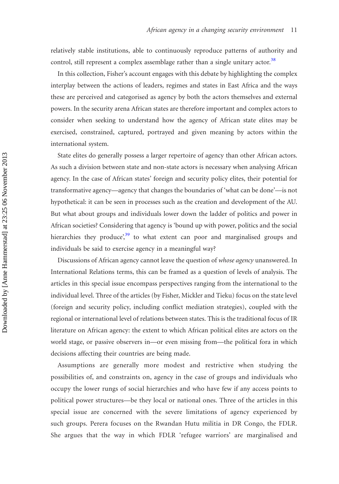relatively stable institutions, able to continuously reproduce patterns of authority and control, still represent a complex assemblage rather than a single unitary actor.<sup>38</sup>

In this collection, Fisher's account engages with this debate by highlighting the complex interplay between the actions of leaders, regimes and states in East Africa and the ways these are perceived and categorised as agency by both the actors themselves and external powers. In the security arena African states are therefore important and complex actors to consider when seeking to understand how the agency of African state elites may be exercised, constrained, captured, portrayed and given meaning by actors within the international system.

State elites do generally possess a larger repertoire of agency than other African actors. As such a division between state and non-state actors is necessary when analysing African agency. In the case of African states' foreign and security policy elites, their potential for transformative agency—agency that changes the boundaries of 'what can be done'—is not hypothetical: it can be seen in processes such as the creation and development of the AU. But what about groups and individuals lower down the ladder of politics and power in African societies? Considering that agency is 'bound up with power, politics and the social hierarchies they produce', $39$  to what extent can poor and marginalised groups and individuals be said to exercise agency in a meaningful way?

Discussions of African agency cannot leave the question of *whose agency* unanswered. In International Relations terms, this can be framed as a question of levels of analysis. The articles in this special issue encompass perspectives ranging from the international to the individual level. Three of the articles (by Fisher, Mickler and Tieku) focus on the state level (foreign and security policy, including conflict mediation strategies), coupled with the regional or international level of relations between states. This is the traditional focus of IR literature on African agency: the extent to which African political elites are actors on the world stage, or passive observers in—or even missing from—the political fora in which decisions affecting their countries are being made.

Assumptions are generally more modest and restrictive when studying the possibilities of, and constraints on, agency in the case of groups and individuals who occupy the lower rungs of social hierarchies and who have few if any access points to political power structures—be they local or national ones. Three of the articles in this special issue are concerned with the severe limitations of agency experienced by such groups. Perera focuses on the Rwandan Hutu militia in DR Congo, the FDLR. She argues that the way in which FDLR 'refugee warriors' are marginalised and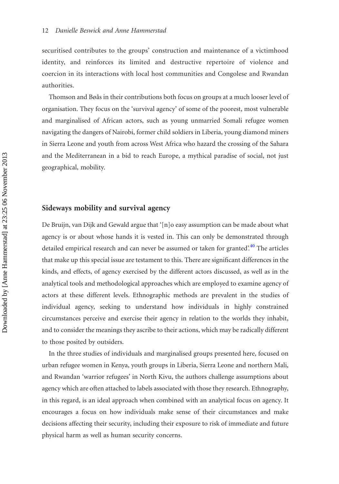securitised contributes to the groups' construction and maintenance of a victimhood identity, and reinforces its limited and destructive repertoire of violence and coercion in its interactions with local host communities and Congolese and Rwandan authorities.

Thomson and Bøås in their contributions both focus on groups at a much looser level of organisation. They focus on the 'survival agency' of some of the poorest, most vulnerable and marginalised of African actors, such as young unmarried Somali refugee women navigating the dangers of Nairobi, former child soldiers in Liberia, young diamond miners in Sierra Leone and youth from across West Africa who hazard the crossing of the Sahara and the Mediterranean in a bid to reach Europe, a mythical paradise of social, not just geographical, mobility.

### Sideways mobility and survival agency

De Bruijn, van Dijk and Gewald argue that '[n]o easy assumption can be made about what agency is or about whose hands it is vested in. This can only be demonstrated through detailed empirical research and can never be assumed or taken for granted'.<sup>40</sup> The articles that make up this special issue are testament to this. There are significant differences in the kinds, and effects, of agency exercised by the different actors discussed, as well as in the analytical tools and methodological approaches which are employed to examine agency of actors at these different levels. Ethnographic methods are prevalent in the studies of individual agency, seeking to understand how individuals in highly constrained circumstances perceive and exercise their agency in relation to the worlds they inhabit, and to consider the meanings they ascribe to their actions, which may be radically different to those posited by outsiders.

In the three studies of individuals and marginalised groups presented here, focused on urban refugee women in Kenya, youth groups in Liberia, Sierra Leone and northern Mali, and Rwandan 'warrior refugees' in North Kivu, the authors challenge assumptions about agency which are often attached to labels associated with those they research. Ethnography, in this regard, is an ideal approach when combined with an analytical focus on agency. It encourages a focus on how individuals make sense of their circumstances and make decisions affecting their security, including their exposure to risk of immediate and future physical harm as well as human security concerns.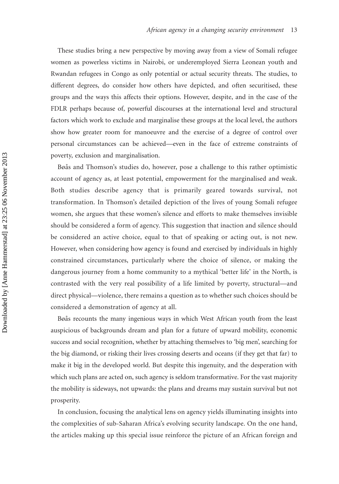These studies bring a new perspective by moving away from a view of Somali refugee women as powerless victims in Nairobi, or underemployed Sierra Leonean youth and Rwandan refugees in Congo as only potential or actual security threats. The studies, to different degrees, do consider how others have depicted, and often securitised, these groups and the ways this affects their options. However, despite, and in the case of the FDLR perhaps because of, powerful discourses at the international level and structural factors which work to exclude and marginalise these groups at the local level, the authors show how greater room for manoeuvre and the exercise of a degree of control over personal circumstances can be achieved—even in the face of extreme constraints of poverty, exclusion and marginalisation.

Bøås and Thomson's studies do, however, pose a challenge to this rather optimistic account of agency as, at least potential, empowerment for the marginalised and weak. Both studies describe agency that is primarily geared towards survival, not transformation. In Thomson's detailed depiction of the lives of young Somali refugee women, she argues that these women's silence and efforts to make themselves invisible should be considered a form of agency. This suggestion that inaction and silence should be considered an active choice, equal to that of speaking or acting out, is not new. However, when considering how agency is found and exercised by individuals in highly constrained circumstances, particularly where the choice of silence, or making the dangerous journey from a home community to a mythical 'better life' in the North, is contrasted with the very real possibility of a life limited by poverty, structural—and direct physical—violence, there remains a question as to whether such choices should be considered a demonstration of agency at all.

<span id="page-14-6"></span><span id="page-14-4"></span><span id="page-14-3"></span><span id="page-14-2"></span><span id="page-14-1"></span><span id="page-14-0"></span>Bøås recounts the many ingenious ways in which West African youth from the least auspicious of backgrounds dream and plan for a future of upward mobility, economic success and social recognition, whether by attaching themselves to 'big men', searching for the big diamond, or risking their lives crossing deserts and oceans (if they get that far) to make it big in the developed world. But despite this ingenuity, and the desperation with which such plans are acted on, such agency is seldom transformative. For the vast majority the mobility is sideways, not upwards: the plans and dreams may sustain survival but not prosperity.

<span id="page-14-11"></span><span id="page-14-10"></span><span id="page-14-9"></span><span id="page-14-8"></span><span id="page-14-7"></span><span id="page-14-5"></span>In conclusion, focusing the analytical lens on agency yields illuminating insights into the complexities of sub-Saharan Africa's evolving security landscape. On the one hand, the articles making up this special issue reinforce the picture of an African foreign and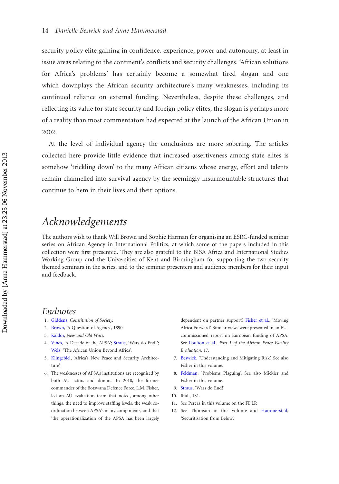<span id="page-15-35"></span><span id="page-15-29"></span><span id="page-15-6"></span><span id="page-15-5"></span><span id="page-15-4"></span><span id="page-15-3"></span><span id="page-15-2"></span><span id="page-15-1"></span><span id="page-15-0"></span>security policy elite gaining in confidence, experience, power and autonomy, at least in issue areas relating to the continent's conflicts and security challenges. 'African solutions for Africa's problems' has certainly become a somewhat tired slogan and one which downplays the African security architecture's many weaknesses, including its continued reliance on external funding. Nevertheless, despite these challenges, and reflecting its value for state security and foreign policy elites, the slogan is perhaps more of a reality than most commentators had expected at the launch of the African Union in 2002.

<span id="page-15-38"></span><span id="page-15-37"></span><span id="page-15-36"></span><span id="page-15-13"></span><span id="page-15-12"></span><span id="page-15-11"></span><span id="page-15-10"></span><span id="page-15-9"></span><span id="page-15-8"></span><span id="page-15-7"></span>At the level of individual agency the conclusions are more sobering. The articles collected here provide little evidence that increased assertiveness among state elites is somehow 'trickling down' to the many African citizens whose energy, effort and talents remain channelled into survival agency by the seemingly insurmountable structures that continue to hem in their lives and their options.

### <span id="page-15-45"></span><span id="page-15-40"></span><span id="page-15-17"></span><span id="page-15-16"></span><span id="page-15-15"></span><span id="page-15-14"></span>*Acknowledgements*

<span id="page-15-41"></span><span id="page-15-23"></span><span id="page-15-22"></span><span id="page-15-21"></span><span id="page-15-20"></span><span id="page-15-19"></span><span id="page-15-18"></span>The authors wish to thank Will Brown and Sophie Harman for organising an ESRC-funded seminar series on African Agency in International Politics, at which some of the papers included in this collection were first presented. They are also grateful to the BISA Africa and International Studies Working Group and the Universities of Kent and Birmingham for supporting the two security themed seminars in the series, and to the seminar presenters and audience members for their input and feedback.

### <span id="page-15-32"></span><span id="page-15-27"></span><span id="page-15-26"></span><span id="page-15-25"></span><span id="page-15-24"></span>*Endnotes*

- <span id="page-15-43"></span>
- <span id="page-15-30"></span>
- <span id="page-15-34"></span>
- [Welz,](#page-16-3) 'The African Union Beyond Africa'. *Evaluation*, 17.
- <span id="page-15-44"></span><span id="page-15-28"></span>ture'. Fisher in this volume.
- <span id="page-15-42"></span><span id="page-15-39"></span><span id="page-15-33"></span><span id="page-15-31"></span>both AU actors and donors. In 2010, the former Fisher in this volume. commander of the Botswana Defence Force, L.M. Fisher, 9. [Straus](#page-16-2), 'Wars do End!' led an AU evaluation team that noted, among other 10. Ibid., 181. things, the need to improve staffing levels, the weak co- 11. See Perera in this volume on the FDLR ordination between APSA's many components, and that 12. See Thomson in this volume and [Hammerstad,](#page-15-33) 'the operationalization of the APSA has been largely 'Securitisation from Below'.

1. [Giddens,](#page-15-28) *Constitution of Society.* dependent on partner support'. [Fisher et al.](#page-15-30), 'Moving 2. [Brown](#page-15-29), 'A Question of Agency', 1890. Africa Forward'. Similar views were presented in an EU-3. [Kaldor,](#page-16-0) *New and Old Wars.* commissioned report on European funding of APSA. 4. [Vines](#page-16-1), 'A Decade of the APSA'; [Straus,](#page-16-2) 'Wars do End!'; See [Poulton et al.](#page-16-5), *Part 1 of the African Peace Facility* 

- 5. [Klingebiel,](#page-16-4) 'Africa's New Peace and Security Architec- 7. [Beswick](#page-15-31), 'Understanding and Mitigating Risk'. See also
- 6. The weaknesses of APSA's institutions are recognised by 8. [Feldman](#page-15-32), 'Problems Plaguing'. See also Mickler and
	-
	-
	-
	-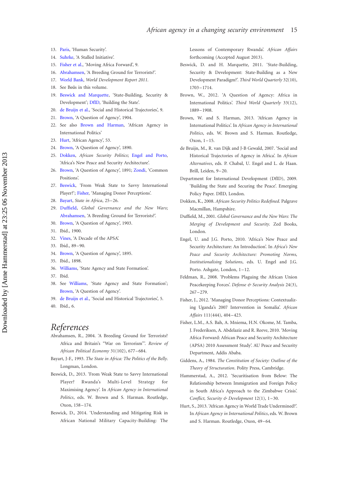- <span id="page-16-0"></span>13. [Paris,](#page-16-6) 'Human Security'.
- 14. [Suhrke,](#page-16-7) 'A Stalled Initiative'.
- <span id="page-16-4"></span>15. [Fisher et al.,](#page-15-30) 'Moving Africa Forward', 9.
- 16. [Abrahamsen](#page-15-34), 'A Breeding Ground for Terrorists?'.
- 17. [World Bank](#page-16-8), *World Development Report 2011.*
- 18. See Bøås in this volume.
- <span id="page-16-6"></span>19. [Beswick and Marquette](#page-15-35), 'State-Building, Security & Development'; [DfID,](#page-15-36) 'Building the State'.
- <span id="page-16-5"></span>20. [de Bruijn et al.](#page-15-37), 'Social and Historical Trajectories', 9.
- 21. [Brown,](#page-15-29) 'A Question of Agency', 1904.
- 22. See also [Brown and Harman,](#page-15-38) 'African Agency in International Politics'
- 23. [Hurt,](#page-15-39) 'African Agency', 53.
- 24. [Brown,](#page-15-29) 'A Question of Agency', 1890.
- 25. [Dokken](#page-15-40), *African Security Politics*; [Engel and Porto,](#page-15-41) 'Africa's New Peace and Security Architecture'.
- <span id="page-16-2"></span>26. [Brown,](#page-15-29) 'A Question of Agency', 1891; [Zondi,](#page-16-9) 'Common Positions'.
- 27. [Beswick,](#page-15-42) 'From Weak State to Savvy International Player?'; [Fisher,](#page-15-43) 'Managing Donor Perceptions'.
- 28. [Bayart](#page-15-44), *State in Africa*, 25– 26.
- 29. [Duffield,](#page-15-45) *Global Governance and the New Wars*; [Abrahamsen,](#page-15-34) 'A Breeding Ground for Terrorists?'.
- 30. [Brown,](#page-15-29) 'A Question of Agency', 1903.
- 31. Ibid., 1900.
- 32. [Vines,](#page-16-1) 'A Decade of the APSA'.
- 33. Ibid., 89 –90.
- 34. [Brown,](#page-15-29) 'A Question of Agency', 1895.
- 35. Ibid., 1898.
- 36. [Williams](#page-16-10), 'State Agency and State Formation'.
- 37. Ibid.
- 38. See [Williams,](#page-16-10) 'State Agency and State Formation'; [Brown,](#page-15-29) 'A Question of Agency'.
- 39. [de Bruijn et al.](#page-15-37), 'Social and Historical Trajectories', 5. 40. Ibid., 6.
- *References*
- Abrahamsen, R., 2004. 'A Breeding Ground for Terrorists? Africa and Britain's "War on Terrorism"'. *Review of African Political Economy* 31(102), 677 – 684.
- Bayart, J-F., 1993. *The State in Africa: The Politics of the Belly*. Longman, London.
- Beswick, D., 2013. 'From Weak State to Savvy International Player? Rwanda's Multi-Level Strategy for Maximising Agency'. In *African Agency in International Politics*, eds. W. Brown and S. Harman. Routledge, Oxon, 158-174.
- Beswick, D., 2014. 'Understanding and Mitigating Risk in African National Military Capacity-Building: The

<span id="page-16-7"></span>Lessons of Contemporary Rwanda'. *African Affairs*  forthcoming (Accepted August 2013).

- <span id="page-16-3"></span><span id="page-16-1"></span>Beswick, D. and H. Marquette, 2011. 'State-Building, Security & Development: State-Building as a New Development Paradigm?'. *Third World Quarterly* 32(10), 1703 – 1714.
- Brown, W., 2012. 'A Question of Agency: Africa in International Politics'. *Third World Quarterly* 33(12), 1889 – 1908.
- <span id="page-16-10"></span>Brown, W. and S. Harman, 2013. 'African Agency in International Politics'. In *African Agency in International Politics*, eds. W. Brown and S. Harman. Routledge, Oxon,  $1 - 15$ .
- <span id="page-16-9"></span><span id="page-16-8"></span>de Bruijn, M., R. van Dijk and J-B Gewald, 2007. 'Social and Historical Trajectories of Agency in Africa'. In *African Alternatives*, eds. P. Chabal, U. Engel and L. de Haan. Brill, Leiden, 9-20.
- Department for International Development (DfID), 2009. 'Building the State and Securing the Peace'. Emerging Policy Paper. DfID, London.
- Dokken, K., 2008. *African Security Politics Redefined*. Palgrave Macmillan, Hampshire.
- Duffield, M., 2001. *Global Governance and the New Wars: The Merging of Development and Security*. Zed Books, London.
- Engel, U. and J.G. Porto, 2010. 'Africa's New Peace and Security Architecture: An Introduction'. In *Africa's New Peace and Security Architecture: Promoting Norms, Institutionalising Solutions*, eds. U. Engel and J.G. Porto. Ashgate, London, 1-12.
- Feldman, R., 2008. 'Problems Plaguing the African Union Peacekeeping Forces'. *Defense & Security Analysis* 24(3), 267 – 279.
- Fisher, J., 2012. 'Managing Donor Perceptions: Contextualizing Uganda's 2007 Intervention in Somalia'. *African Affairs* 111(444), 404 – 423.
- Fisher, L.M., A.S. Bah, A. Mniema, H.N. Okome, M. Tamba, J. Frederiksen, A. Abdelaziz and R. Reeve, 2010. 'Moving Africa Forward: African Peace and Security Architecture (APSA) 2010 Assessment Study'. AU Peace and Security Department, Addis Ababa.
- Giddens, A., 1984. *The Constitution of Society: Outline of the Theory of Structuration*. Polity Press, Cambridge.
- Hammerstad, A., 2012. 'Securitisation from Below: The Relationship between Immigration and Foreign Policy in South Africa's Approach to the Zimbabwe Crisis'. *Conflict, Security & Development* 12(1), 1-30.
- Hurt, S., 2013. 'African Agency in World Trade Undermined?'. In *African Agency in International Politics*, eds. W. Brown and S. Harman. Routledge, Oxon, 49-64.